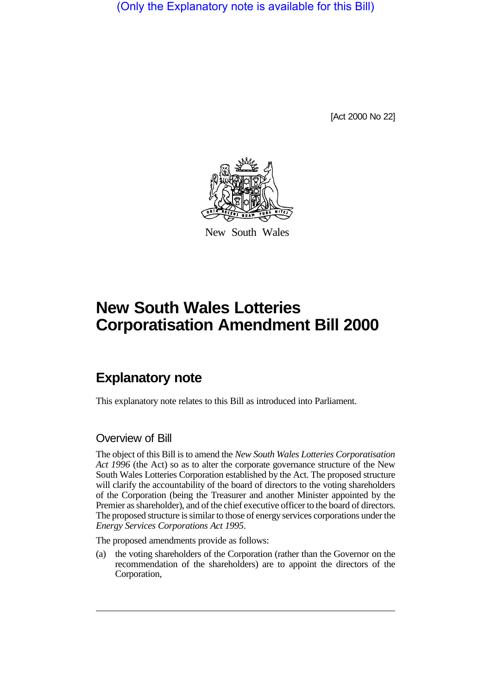(Only the Explanatory note is available for this Bill)

[Act 2000 No 22]



New South Wales

# **New South Wales Lotteries Corporatisation Amendment Bill 2000**

## **Explanatory note**

This explanatory note relates to this Bill as introduced into Parliament.

### Overview of Bill

The object of this Bill is to amend the *New South Wales Lotteries Corporatisation Act 1996* (the Act) so as to alter the corporate governance structure of the New South Wales Lotteries Corporation established by the Act. The proposed structure will clarify the accountability of the board of directors to the voting shareholders of the Corporation (being the Treasurer and another Minister appointed by the Premier as shareholder), and of the chief executive officer to the board of directors. The proposed structure is similar to those of energy services corporations under the *Energy Services Corporations Act 1995*.

The proposed amendments provide as follows:

(a) the voting shareholders of the Corporation (rather than the Governor on the recommendation of the shareholders) are to appoint the directors of the Corporation,